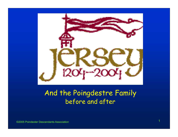

#### And the Poingdestre Family before and after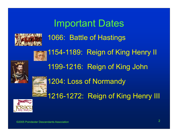

# Important Dates 1066: Battle of Hastings 1154-1189: Reign of King Henry II 1199-1216: Reign of King John 1204: Loss of Normandy 1216-1272: Reign of King Henry III

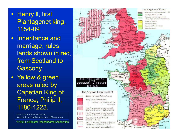- Henry ll, first Plantagenet king, 1154-89.
- $\bullet$  Inheritance and marriage, rules lands shown in red, from Scotland to Gascony.
- Yellow & green areas ruled by Capetian King of France, Philip ll, 1180-1223.

Map from Fordham University www.fordham.edu/halsall/maps/1174angev.jpg

©2005 Poindexter Descendants Association

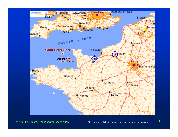

©2005 Poindexter Descendants Association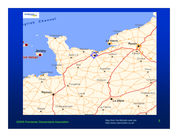

Map from Via Michelin web site 5 http://www.viamichelin.co.uk/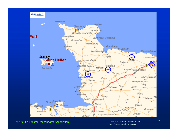

©2005 Poindexter Descendants Association

Map from Via Michelin web site  $\qquad \qquad 6$ http://www.viamichelin.co.uk/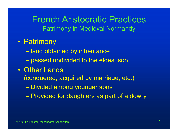#### French Aristocratic PracticesPatrimony in Medieval Normandy

- Patrimony
	- $\mathcal{L}_{\mathcal{A}}$  , and the set of the set of the set of the set of the set of the set of the set of the set of the set of the set of the set of the set of the set of the set of the set of the set of the set of the set of th land obtained by inheritance
	- Charles Constantinopolis passed undivided to the eldest son
- $\bullet$  Other Lands
	- (conquered, acquired by marriage, etc.)
		- Charles Constantinopolis Divided among younger sons
		- Provided for daughters as part of a dowry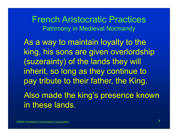French Aristocratic PracticesPatrimony in Medieval Normandy

As a way to maintain loyalty to the king, his sons are given overlordship (suzerainty) of the lands they will inherit, so long as they continue to pay tribute to their father, the King.

Also made the king's presence known in these lands.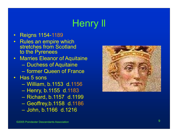## Henry ll

- $\bullet$ Reigns 1154-1189
- $\bullet$  Rules an empire which stretches from Scotland to the Pyrenees
- $\bullet$  Marries Eleanor of Aquitaine
	- Duchess of Aquitaine
	- former Queen of France
- $\bullet$  Has 5 sons
	- William, b.1153 d.1156
	- Henry, b.1155 d.1183
	- Richard, b.1157 d.1199
	- Geoffrey,b.1158 d.1186
	- John, b.1166 d.1216

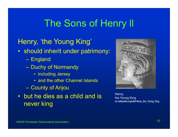#### Henry, 'the Young King'

- should inherit under patrimony:
	- England
	- Duchy of Normandy
		- including Jersey
		- and the other Channel Islands
	- County of Anjou
- but he dies as a child and is never king



Henry, the Young King en.wikipedia.org/wiki/Henry\_the\_Young\_King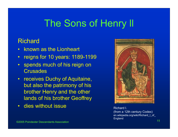#### Richard

- $\bullet$ known as the Lionheart
- $\bullet$ reigns for 10 years: 1189-1199
- $\bullet$  spends much of his reign on **Crusades**
- • receives Duchy of Aquitaine, but also the patrimony of his brother Henry and the other lands of his brother Geoffrey
- $\bullet$ dies without issue **Richard I.** Richard I.



n 11 ann an 11 an t-Iomraid ann an t-Iomraid ann an 11 an t-Iomraid ann an 11 an 11 an 11 an 11 an 11 an 11 an (from a 12th century Codex) en.wikipedia.org/wiki/Richard I of England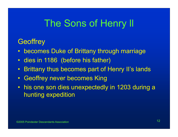#### **Geoffrey**

- •becomes Duke of Brittany through marriage
- $\bullet$ dies in 1186 (before his father)
- $\bullet$ Brittany thus becomes part of Henry II's lands
- $\bullet$ Geoffrey never becomes King
- his one son dies unexpectedly in 1203 during a hunting expedition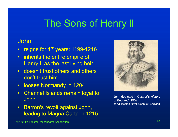#### John

- $\bullet$ reigns for 17 years: 1199-1216
- • inherits the entire empire of Henry II as the last living heir
- • doesn't trust others and others don't trust him
- •looses Normandy in 1204
- $\bullet$  Channel Islands remain loyal to John
- $\bullet$  Barron's revolt against John, leadng to Magna Carta in 1215



John depicted in *Cassell's History of England* (1902) en.wikipedia.org/wiki/John\_of\_England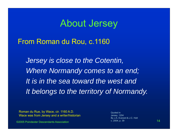#### About Jersey

#### From Roman du Rou, c.1160

*Jersey is close to the Cotentin, Where Normandy comes to an end; It is in the sea toward the west andIt belongs to the territory of Normandy.*

Roman du Rue, by Wace, cir. 1160 A.D. Wace was from Jersey and a writer/historian

©2005 Poindexter Descendants Association

n and the contract of the contract of  $\sim$  2004, p. 39  $\sim$  14  $\sim$  14  $\sim$ Quoted inJersey, 1204 By J.A. Everard & J.C. Holt c. 2004, p. 39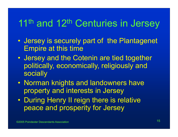## 11<sup>th</sup> and 12<sup>th</sup> Centuries in Jersey

- $\mathbf C$  Jersey is securely part of the Plantagenet Empire at this time
- $\bullet$  Jersey and the Cotenin are tied together politically, economically, religiously and socially
- Norman knights and landowners have property and interests in Jersey
- During Henry II reign there is relative peace and prosperity for Jersey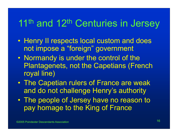## 11<sup>th</sup> and 12<sup>th</sup> Centuries in Jersey

- Henry II respects local custom and does not impose a "foreign" government
- $\bullet$  Normandy is under the control of the Plantagenets, not the Capetians (French royal line)
- $\bullet$  The Capetian rulers of France are weak and do not challenge Henry's authority
- $\bullet$  The people of Jersey have no reason to pay homage to the King of France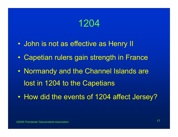### 1204

- $\bullet$ John is not as effective as Henry II
- $\mathbf C$ Capetian rulers gain strength in France
- $\bullet$  Normandy and the Channel Islands are lost in 1204 to the Capetians
- $\bullet$ How did the events of 1204 affect Jersey?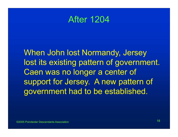#### After 1204

When John lost Normandy, Jersey lost its existing pattern of government. Caen was no longer a center of support for Jersey. A new pattern of government had to be established.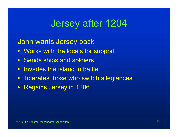### Jersey after 1204

John wants Jersey back

- Works with the locals for support
- Sends ships and soldiers
- $\bullet$ Invades the island in battle
- $\bullet$ Tolerates those who switch allegiances
- •Regains Jersey in 1206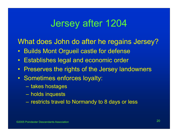### Jersey after 1204

What does John do after he regains Jersey?

- $\bullet$ Builds Mont Orgueil castle for defense
- $\bullet$ Establishes legal and economic order
- $\bullet$ Preserves the rights of the Jersey landowners
- Sometimes enforces loyalty:
	- takes hostages
	- holds inquests
	- restricts travel to Normandy to 8 days or less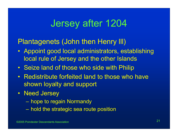### Jersey after 1204

#### Plantagenets (John then Henry lll)

- Appoint good local administrators, establishing local rule of Jersey and the other Islands
- Seize land of those who side with Philip
- Redistribute forfeited land to those who have shown loyalty and support
- Need Jersey
	- hope to regain Normandy
	- hold the strategic sea route position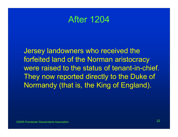#### After 1204

Jersey landowners who received the forfeited land of the Norman aristocracy were raised to the status of tenant-in-chief. They now reported directly to the Duke of Normandy (that is, the King of England).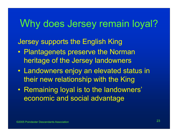### Why does Jersey remain loyal?

#### Jersey supports the English King

- Plantagenets preserve the Norman heritage of the Jersey landowners
- Landowners enjoy an elevated status in their new relationship with the King
- $\bullet$  Remaining loyal is to the landowners' economic and social advantage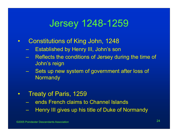### Jersey 1248-1259

- $\bullet$  Constitutions of King John, 1248
	- Established by Henry III, John's son
	- Reflects the conditions of Jersey during the time of John's reign
	- Sets up new system of government after loss of **Normandy**
- $\bullet$  Treaty of Paris, 1259
	- ends French claims to Channel Islands
	- Henry III gives up his title of Duke of Normandy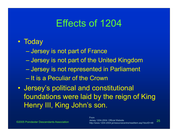### Effects of 1204

#### • Today

- $\mathcal{L}_{\mathcal{A}}$  , and the set of the set of the set of the set of the set of the set of the set of the set of the set of the set of the set of the set of the set of the set of the set of the set of the set of the set of th Jersey is not part of France
- Charles Constantinopolis Jersey is not part of the United Kingdom
- Jersey is not represented in Parliament
- It is a Peculiar of the Crown
- $\bullet$  Jersey's political and constitutional foundations were laid by the reign of King Henry III, King John's son.

 <sup>25</sup> http://www.1204-2004.je/resourcecentre/readitem.asp?docID=48FromJersey 1204-2004: Official Website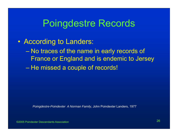- According to Landers:
	- $\mathcal{L}_{\mathcal{A}}$  , and the set of the set of the set of the set of the set of the set of the set of the set of the set of the set of the set of the set of the set of the set of the set of the set of the set of the set of th No traces of the name in early records of France or England and is endemic to Jersey
	- He missed a couple of records!

*Poingdestre-Poindexter A Norman Family*, John Poindexter Landers, 1977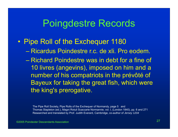#### $\bullet$ Pipe Roll of the Exchequer 1180

- Ricardus Poindestre r.c. de xli. Pro eodem.
- Richard Poindestre was in debt for a fine of 10 livres (angevins), imposed on him and a number of his compatriots in the prévôté of Bayeux for taking the great fish, which were the king's prerogative.

The Pipe Roll Society, Pipe Rolls of the Exchequer of Normandy, page 5 and Thomas Stapleton (ed.), Magni Rotuli Scaccarie Normannie, vol. I, (London 1840), pp. 6 and 271 Researched and translated by Prof. Judith Everard, Cambridge, co-author of *Jersey 1204*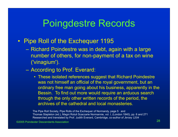#### $\bullet$ Pipe Roll of the Exchequer 1195

- Richard Poindestre was in debt, again with a large number of others, for non-payment of a tax on wine ('vinagium').
- According to Prof. Everard:
	- These isolated references suggest that Richard Poindestre was not himself an official of the royal government, but an ordinary free man going about his business, apparently in the Bessin. To find out more would require an arduous search through the only other written records of the period, the archives of the cathedral and local monasteries.

The Pipe Roll Society, Pipe Rolls of the Exchequer of Normandy, page 5 and Thomas Stapleton (ed.), Magni Rotuli Scaccarie Normannie, vol. I, (London 1840), pp. 6 and 271 Researched and translated by Prof. Judith Everard, Cambridge, co-author of *Jersey 1204*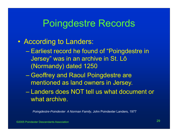#### • According to Landers:

- $\mathcal{L}_{\mathcal{A}}$  , and the set of the set of the set of the set of the set of the set of the set of the set of the set of the set of the set of the set of the set of the set of the set of the set of the set of the set of th Earliest record he found of "Poingdestre in Jersey" was in an archive in St. Lô (Normandy) dated 1250
- Geoffrey and Raoul Poingdestre are mentioned as land owners in Jersey.
- Landers does NOT tell us what document or what archive.

*Poingdestre-Poindexter A Norman Family*, John Poindexter Landers, 1977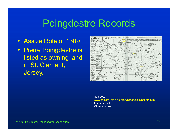- Assize Role of 1309
- Pierre Poingdestre is listed as owning land in St. Clement, Jersey.



Sources:www.societe-jersiaise.org/whitsco/balleinenam.htm Landers bookOther sources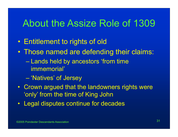#### About the Assize Role of 1309

- $\bullet$ Entitlement to rights of old
- $\bullet$  Those named are defending their claims:
	- Lands held by ancestors 'from time immemorial'
	- $\mathcal{L}_{\mathcal{A}}$  , and the set of the set of the set of the set of the set of the set of the set of the set of the set of the set of the set of the set of the set of the set of the set of the set of the set of the set of th 'Natives' of Jersey
- Crown argued that the landowners rights were 'only' from the time of King John
- Legal disputes continue for decades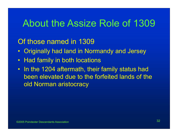### About the Assize Role of 1309

#### Of those named in 1309

- $\bullet$ Originally had land in Normandy and Jersey
- •Had family in both locations
- In the 1204 aftermath, their family status had been elevated due to the forfeited lands of the old Norman aristocracy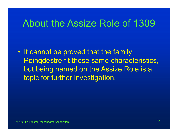#### About the Assize Role of 1309

 $\bullet$  It cannot be proved that the family Poingdestre fit these same characteristics, but being named on the Assize Role is a topic for further investigation.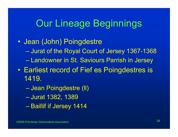### Our Lineage Beginnings

- $\bullet$  Jean (John) Poingdestre  $\mathcal{L}_{\mathcal{A}}$  , and the set of the set of the set of the set of the set of the set of the set of the set of the set of the set of the set of the set of the set of the set of the set of the set of the set of the set of th Jurat of the Royal Court of Jersey 1367-1368 – Charles Constantinopolis Landowner in St. Saviours Parrish in Jersey  $\bullet$  Earliest record of Fief es Poingdestres is 1419.
	- Charles Constantinopolis Jean Poingdestre (ll)  $\mathcal{L}_{\mathcal{A}}$  , and the set of the set of the set of the set of the set of the set of the set of the set of the set of the set of the set of the set of the set of the set of the set of the set of the set of the set of th Jurat 1382, 1389 – Paris Paris II. Baillif if Jersey 1414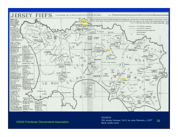

#### ©2005 Poindexter Descendants Association

#### <sup>35</sup> Old Jersey Houses, Vol II, by Joan Stevens, c.1977 SOURCE:Back inside cover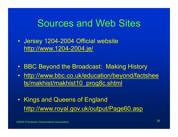#### Sources and Web Sites

- Jersey 1204-2004 Official website http://www.1204-2004.je/
- •BBC Beyond the Broadcast: Making History
- • http://www.bbc.co.uk/education/beyond/factshee ts/makhist/makhist10\_prog8c.shtml
- Kings and Queens of England http://www.royal.gov.uk/output/Page60.asp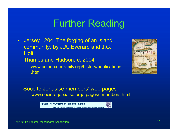#### Further Reading

 $\bullet$  Jersey 1204: The forging of an island community; by J.A. Everard and J.C. **Holt** 

Thames and Hudson, c. 2004

 www.poindexterfamily.org/history/publications .html



Soceite Jeriasise members' web pages www.societe-jersiaise.org/\_pages/\_members.html

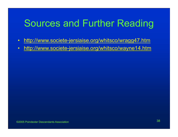## Sources and Further Reading

- •http://www.societe-jersiaise.org/whitsco/wragg47.htm
- $\bullet$ http://www.societe-jersiaise.org/whitsco/wayne14.htm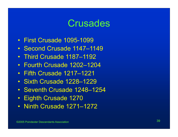#### **Crusades**

- First Crusade 1095-1099
- Second Crusade 1147–1149
- Third Crusade 1187–1192
- Fourth Crusade 1202–1204
- Fifth Crusade 1217–1221
- Sixth Crusade 1228–1229
- Seventh Crusade 1248–1254
- Eighth Crusade 1270
- Ninth Crusade 1271–1272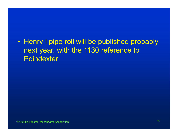#### • Henry I pipe roll will be published probably next year, with the 1130 reference to **Poindexter**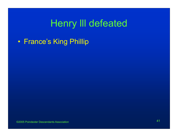## Henry lll defeated

 $\bullet$ France's King Phillip